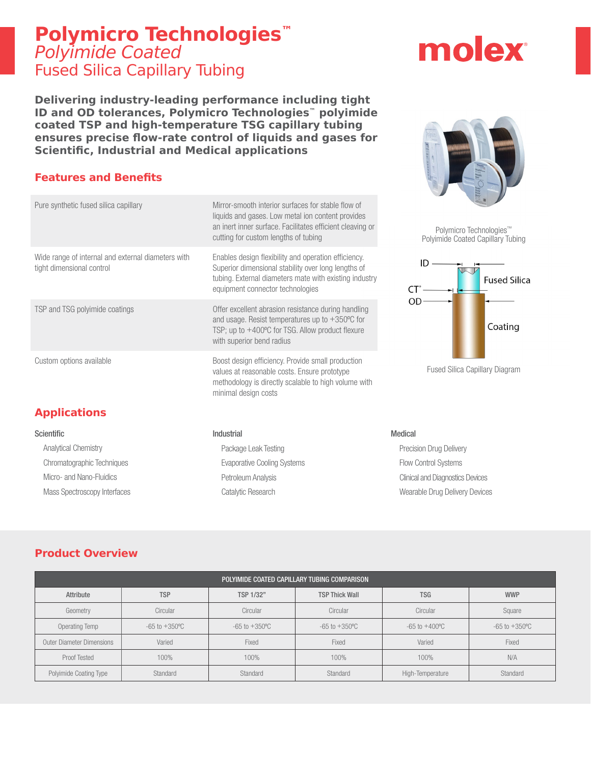## **Polymicro Technologies™** Polyimide Coated Fused Silica Capillary Tubing

**Delivering industry-leading performance including tight ID and OD tolerances, Polymicro Technologies™ polyimide coated TSP and high-temperature TSG capillary tubing ensures precise flow-rate control of liquids and gases for Scientific, Industrial and Medical applications**

### **Features and Benefits**

| Pure synthetic fused silica capillary                                           | Mirror-smooth interior surfaces for stable flow of<br>liquids and gases. Low metal ion content provides<br>an inert inner surface. Facilitates efficient cleaving or<br>cutting for custom lengths of tubing | Polymicro Techno<br>Polyimide Coated Cap |
|---------------------------------------------------------------------------------|--------------------------------------------------------------------------------------------------------------------------------------------------------------------------------------------------------------|------------------------------------------|
| Wide range of internal and external diameters with<br>tight dimensional control | Enables design flexibility and operation efficiency.<br>Superior dimensional stability over long lengths of<br>tubing. External diameters mate with existing industry<br>equipment connector technologies    | ID<br>СT                                 |
| TSP and TSG polyimide coatings                                                  | Offer excellent abrasion resistance during handling<br>and usage. Resist temperatures up to $+350^{\circ}$ C for<br>TSP; up to +400°C for TSG. Allow product flexure<br>with superior bend radius            | OD                                       |
| Custom options available                                                        | Boost design efficiency. Provide small production<br>values at reasonable costs. Ensure prototype<br>methodology is directly scalable to high volume with<br>minimal design costs                            | <b>Fused Silica Capillar</b>             |
| <b>Applications</b>                                                             |                                                                                                                                                                                                              |                                          |
| <b>Scientific</b>                                                               | Industrial                                                                                                                                                                                                   | <b>Medical</b>                           |
| <b>Analytical Chemistry</b>                                                     | Package Leak Testing                                                                                                                                                                                         | <b>Precision Drug Delivery</b>           |
| Chromatographic Techniques                                                      | <b>Evaporative Cooling Systems</b>                                                                                                                                                                           | <b>Flow Control Systems</b>              |
| Micro- and Nano-Fluidics                                                        | Petroleum Analysis                                                                                                                                                                                           | <b>Clinical and Diagnostics Devices</b>  |

Catalytic Research

#### **Product Overview**

Mass Spectroscopy Interfaces

| POLYIMIDE COATED CAPILLARY TUBING COMPARISON |                           |                           |                           |                           |                           |  |  |  |
|----------------------------------------------|---------------------------|---------------------------|---------------------------|---------------------------|---------------------------|--|--|--|
| Attribute                                    | <b>TSP</b>                | TSP 1/32"                 | <b>TSP Thick Wall</b>     | <b>TSG</b>                | <b>WWP</b>                |  |  |  |
| Geometry                                     | Circular                  | Circular                  | Circular                  | Circular                  | Square                    |  |  |  |
| Operating Temp                               | $-65$ to $+350^{\circ}$ C | $-65$ to $+350^{\circ}$ C | $-65$ to $+350^{\circ}$ C | $-65$ to $+400^{\circ}$ C | $-65$ to $+350^{\circ}$ C |  |  |  |
| <b>Outer Diameter Dimensions</b>             | Varied                    | Fixed                     | Fixed                     | Varied                    | Fixed                     |  |  |  |
| <b>Proof Tested</b>                          | 100%                      | 100%                      | 100%                      | 100%                      | N/A                       |  |  |  |
| Polyimide Coating Type                       | Standard                  | Standard                  | Standard                  | High-Temperature          | Standard                  |  |  |  |





ymicro Technologies™ de Coated Capillary Tubing



Silica Capillary Diagram

Wearable Drug Delivery Devices